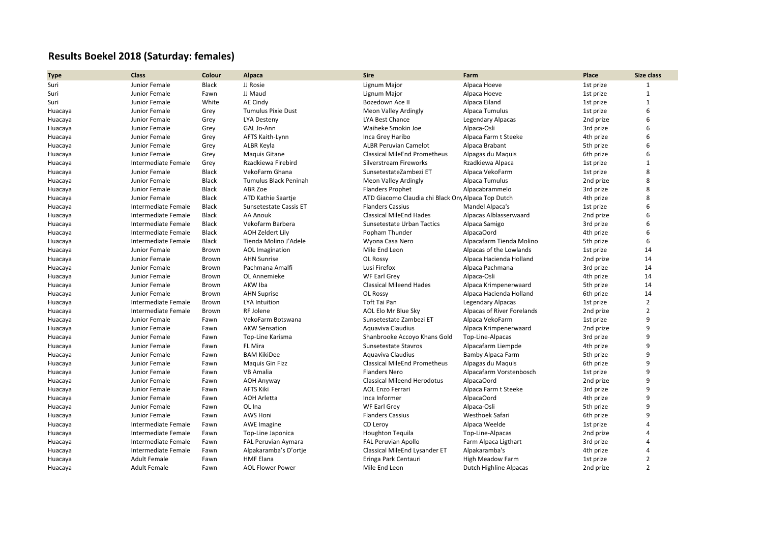## **Results Boekel 2018 (Saturday: females)**

| <b>Type</b> | <b>Class</b>        | Colour       | Alpaca                    | <b>Sire</b>                                        | Farm                       | Place     | Size class              |
|-------------|---------------------|--------------|---------------------------|----------------------------------------------------|----------------------------|-----------|-------------------------|
| Suri        | Junior Female       | <b>Black</b> | JJ Rosie                  | Lignum Major                                       | Alpaca Hoeve               | 1st prize | $\mathbf{1}$            |
| Suri        | Junior Female       | Fawn         | JJ Maud                   | Lignum Major                                       | Alpaca Hoeve               | 1st prize | $\mathbf{1}$            |
| Suri        | Junior Female       | White        | AE Cindy                  | Bozedown Ace II                                    | Alpaca Eiland              | 1st prize | $\mathbf{1}$            |
| Huacaya     | Junior Female       | Grey         | <b>Tumulus Pixie Dust</b> | Meon Valley Ardingly                               | Alpaca Tumulus             | 1st prize | 6                       |
| Huacaya     | Junior Female       | Grey         | <b>LYA Desteny</b>        | <b>LYA Best Chance</b>                             | Legendary Alpacas          | 2nd prize | 6                       |
| Huacaya     | Junior Female       | Grey         | GAL Jo-Ann                | Waiheke Smokin Joe                                 | Alpaca-Osli                | 3rd prize | 6                       |
| Huacaya     | Junior Female       | Grey         | AFTS Kaith-Lynn           | Inca Grey Haribo                                   | Alpaca Farm t Steeke       | 4th prize | 6                       |
| Huacaya     | Junior Female       | Grey         | ALBR Keyla                | <b>ALBR Peruvian Camelot</b>                       | Alpaca Brabant             | 5th prize | 6                       |
| Huacaya     | Junior Female       | Grey         | <b>Maguis Gitane</b>      | <b>Classical MileEnd Prometheus</b>                | Alpagas du Maquis          | 6th prize | 6                       |
| Huacaya     | Intermediate Female | Grey         | Rzadkiewa Firebird        | Silverstream Fireworks                             | Rzadkiewa Alpaca           | 1st prize | $\mathbf{1}$            |
| Huacaya     | Junior Female       | <b>Black</b> | VekoFarm Ghana            | SunsetestateZambezi ET                             | Alpaca VekoFarm            | 1st prize | $\mathsf{\overline{8}}$ |
| Huacaya     | Junior Female       | <b>Black</b> | Tumulus Black Peninah     | Meon Valley Ardingly                               | Alpaca Tumulus             | 2nd prize | $\mathsf{\overline{8}}$ |
| Huacaya     | Junior Female       | <b>Black</b> | ABR Zoe                   | <b>Flanders Prophet</b>                            | Alpacabrammelo             | 3rd prize | 8                       |
| Huacaya     | Junior Female       | <b>Black</b> | ATD Kathie Saartje        | ATD Giacomo Claudia chi Black Ony Alpaca Top Dutch |                            | 4th prize | $\mathsf{\overline{8}}$ |
| Huacaya     | Intermediate Female | <b>Black</b> | Sunsetestate Cassis ET    | <b>Flanders Cassius</b>                            | Mandel Alpaca's            | 1st prize | 6                       |
| Huacaya     | Intermediate Female | <b>Black</b> | AA Anouk                  | <b>Classical MileEnd Hades</b>                     | Alpacas Alblasserwaard     | 2nd prize | 6                       |
| Huacaya     | Intermediate Female | <b>Black</b> | Vekofarm Barbera          | Sunsetestate Urban Tactics                         | Alpaca Samigo              | 3rd prize | 6                       |
| Huacaya     | Intermediate Female | <b>Black</b> | AOH Zeldert Lily          | Popham Thunder                                     | AlpacaOord                 | 4th prize | 6                       |
| Huacaya     | Intermediate Female | <b>Black</b> | Tienda Molino J'Adele     | Wyona Casa Nero                                    | Alpacafarm Tienda Molino   | 5th prize | 6                       |
| Huacaya     | Junior Female       | Brown        | <b>AOL Imagination</b>    | Mile End Leon                                      | Alpacas of the Lowlands    | 1st prize | 14                      |
| Huacaya     | Junior Female       | Brown        | <b>AHN Sunrise</b>        | OL Rossy                                           | Alpaca Hacienda Holland    | 2nd prize | 14                      |
| Huacaya     | Junior Female       | Brown        | Pachmana Amalfi           | Lusi Firefox                                       | Alpaca Pachmana            | 3rd prize | 14                      |
| Huacaya     | Junior Female       | Brown        | OL Annemieke              | WF Earl Grey                                       | Alpaca-Osli                | 4th prize | 14                      |
| Huacaya     | Junior Female       | Brown        | AKW Iba                   | <b>Classical Mileend Hades</b>                     | Alpaca Krimpenerwaard      | 5th prize | 14                      |
| Huacaya     | Junior Female       | Brown        | <b>AHN Suprise</b>        | OL Rossy                                           | Alpaca Hacienda Holland    | 6th prize | 14                      |
| Huacaya     | Intermediate Female | Brown        | <b>LYA Intuition</b>      | Toft Tai Pan                                       | Legendary Alpacas          | 1st prize | $\overline{2}$          |
| Huacaya     | Intermediate Female | Brown        | RF Jolene                 | AOL Elo Mr Blue Sky                                | Alpacas of River Forelands | 2nd prize | $\overline{2}$          |
| Huacaya     | Junior Female       | Fawn         | VekoFarm Botswana         | Sunsetestate Zambezi ET                            | Alpaca VekoFarm            | 1st prize | 9                       |
| Huacaya     | Junior Female       | Fawn         | <b>AKW Sensation</b>      | Aquaviva Claudius                                  | Alpaca Krimpenerwaard      | 2nd prize | 9                       |
| Huacaya     | Junior Female       | Fawn         | Top-Line Karisma          | Shanbrooke Accoyo Khans Gold                       | Top-Line-Alpacas           | 3rd prize | 9                       |
| Huacaya     | Junior Female       | Fawn         | <b>FL Mira</b>            | Sunsetestate Stavros                               | Alpacafarm Liempde         | 4th prize | 9                       |
| Huacaya     | Junior Female       | Fawn         | <b>BAM KikiDee</b>        | Aquaviva Claudius                                  | Bamby Alpaca Farm          | 5th prize | $\mathsf{q}$            |
| Huacaya     | Junior Female       | Fawn         | <b>Maguis Gin Fizz</b>    | <b>Classical MileEnd Prometheus</b>                | Alpagas du Maquis          | 6th prize | 9                       |
| Huacaya     | Junior Female       | Fawn         | <b>VB Amalia</b>          | <b>Flanders Nero</b>                               | Alpacafarm Vorstenbosch    | 1st prize | 9                       |
| Huacaya     | Junior Female       | Fawn         | <b>AOH Anyway</b>         | <b>Classical Mileend Herodotus</b>                 | AlpacaOord                 | 2nd prize | $\mathsf{q}$            |
| Huacaya     | Junior Female       | Fawn         | <b>AFTS Kiki</b>          | <b>AOL Enzo Ferrari</b>                            | Alpaca Farm t Steeke       | 3rd prize | 9                       |
| Huacaya     | Junior Female       | Fawn         | <b>AOH Arletta</b>        | Inca Informer                                      | AlpacaOord                 | 4th prize | q                       |
| Huacaya     | Junior Female       | Fawn         | OL Ina                    | WF Earl Grey                                       | Alpaca-Osli                | 5th prize | $\mathsf{q}$            |
| Huacaya     | Junior Female       | Fawn         | AWS Honi                  | <b>Flanders Cassius</b>                            | Westhoek Safari            | 6th prize | 9                       |
| Huacaya     | Intermediate Female | Fawn         | AWE Imagine               | CD Leroy                                           | Alpaca Weelde              | 1st prize | $\boldsymbol{\Lambda}$  |
| Huacaya     | Intermediate Female | Fawn         | Top-Line Japonica         | Houghton Tequila                                   | Top-Line-Alpacas           | 2nd prize | $\Delta$                |
| Huacaya     | Intermediate Female | Fawn         | FAL Peruvian Aymara       | <b>FAL Peruvian Apollo</b>                         | Farm Alpaca Ligthart       | 3rd prize | $\overline{a}$          |
| Huacaya     | Intermediate Female | Fawn         | Alpakaramba's D'ortie     | Classical MileEnd Lysander ET                      | Alpakaramba's              | 4th prize | $\Delta$                |
| Huacaya     | <b>Adult Female</b> | Fawn         | <b>HMF Elana</b>          | Eringa Park Centauri                               | <b>High Meadow Farm</b>    | 1st prize | $\overline{2}$          |
| Huacaya     | <b>Adult Female</b> | Fawn         | <b>AOL Flower Power</b>   | Mile End Leon                                      | Dutch Highline Alpacas     | 2nd prize | $\overline{2}$          |